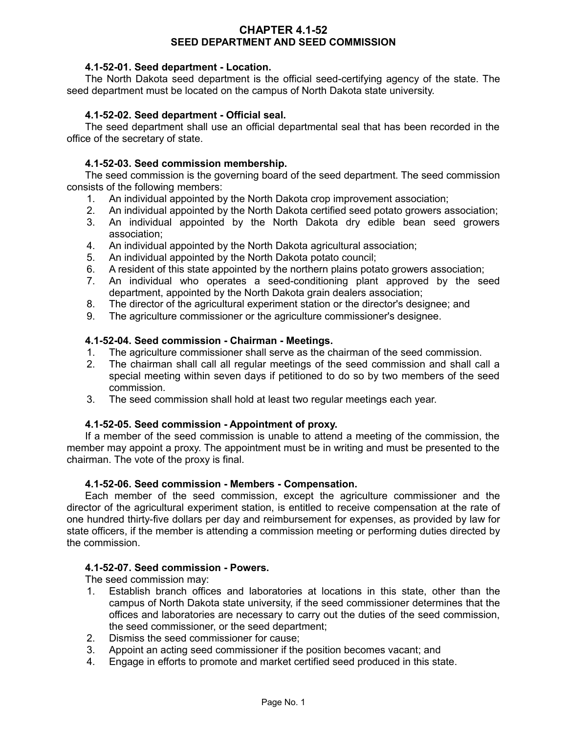## **CHAPTER 4.1-52 SEED DEPARTMENT AND SEED COMMISSION**

## **4.1-52-01. Seed department - Location.**

The North Dakota seed department is the official seed-certifying agency of the state. The seed department must be located on the campus of North Dakota state university.

### **4.1-52-02. Seed department - Official seal.**

The seed department shall use an official departmental seal that has been recorded in the office of the secretary of state.

### **4.1-52-03. Seed commission membership.**

The seed commission is the governing board of the seed department. The seed commission consists of the following members:

- 1. An individual appointed by the North Dakota crop improvement association;
- 2. An individual appointed by the North Dakota certified seed potato growers association;
- 3. An individual appointed by the North Dakota dry edible bean seed growers association;
- 4. An individual appointed by the North Dakota agricultural association;
- 5. An individual appointed by the North Dakota potato council;
- 6. A resident of this state appointed by the northern plains potato growers association;
- 7. An individual who operates a seed-conditioning plant approved by the seed department, appointed by the North Dakota grain dealers association;
- 8. The director of the agricultural experiment station or the director's designee; and
- 9. The agriculture commissioner or the agriculture commissioner's designee.

#### **4.1-52-04. Seed commission - Chairman - Meetings.**

- 1. The agriculture commissioner shall serve as the chairman of the seed commission.
- 2. The chairman shall call all regular meetings of the seed commission and shall call a special meeting within seven days if petitioned to do so by two members of the seed commission.
- 3. The seed commission shall hold at least two regular meetings each year.

#### **4.1-52-05. Seed commission - Appointment of proxy.**

If a member of the seed commission is unable to attend a meeting of the commission, the member may appoint a proxy. The appointment must be in writing and must be presented to the chairman. The vote of the proxy is final.

#### **4.1-52-06. Seed commission - Members - Compensation.**

Each member of the seed commission, except the agriculture commissioner and the director of the agricultural experiment station, is entitled to receive compensation at the rate of one hundred thirty-five dollars per day and reimbursement for expenses, as provided by law for state officers, if the member is attending a commission meeting or performing duties directed by the commission.

#### **4.1-52-07. Seed commission - Powers.**

The seed commission may:

- 1. Establish branch offices and laboratories at locations in this state, other than the campus of North Dakota state university, if the seed commissioner determines that the offices and laboratories are necessary to carry out the duties of the seed commission, the seed commissioner, or the seed department;
- 2. Dismiss the seed commissioner for cause;
- 3. Appoint an acting seed commissioner if the position becomes vacant; and
- 4. Engage in efforts to promote and market certified seed produced in this state.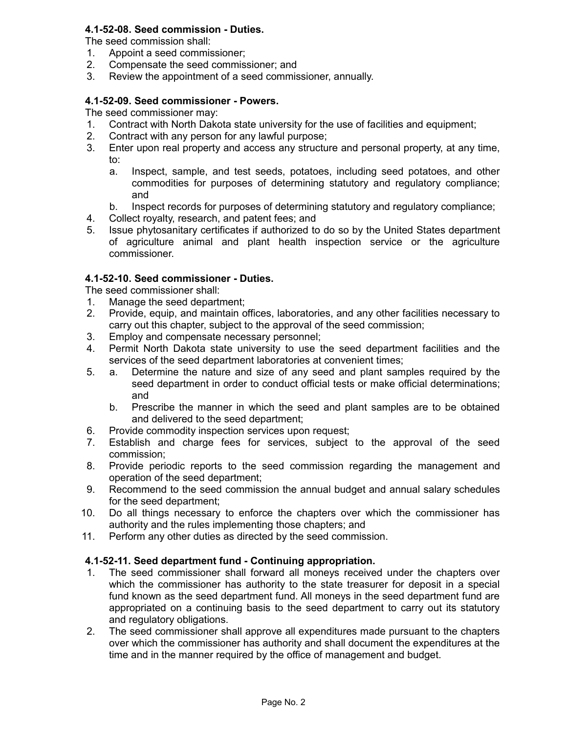# **4.1-52-08. Seed commission - Duties.**

The seed commission shall:

- 1. Appoint a seed commissioner;
- 2. Compensate the seed commissioner; and
- 3. Review the appointment of a seed commissioner, annually.

# **4.1-52-09. Seed commissioner - Powers.**

The seed commissioner may:

- 1. Contract with North Dakota state university for the use of facilities and equipment;
- 2. Contract with any person for any lawful purpose;
- 3. Enter upon real property and access any structure and personal property, at any time, to:
	- a. Inspect, sample, and test seeds, potatoes, including seed potatoes, and other commodities for purposes of determining statutory and regulatory compliance; and
	- b. Inspect records for purposes of determining statutory and regulatory compliance;
- 4. Collect royalty, research, and patent fees; and
- 5. Issue phytosanitary certificates if authorized to do so by the United States department of agriculture animal and plant health inspection service or the agriculture commissioner.

## **4.1-52-10. Seed commissioner - Duties.**

The seed commissioner shall:

- 1. Manage the seed department;
- 2. Provide, equip, and maintain offices, laboratories, and any other facilities necessary to carry out this chapter, subject to the approval of the seed commission;
- 3. Employ and compensate necessary personnel;
- 4. Permit North Dakota state university to use the seed department facilities and the services of the seed department laboratories at convenient times;
- 5. a. Determine the nature and size of any seed and plant samples required by the seed department in order to conduct official tests or make official determinations; and
	- b. Prescribe the manner in which the seed and plant samples are to be obtained and delivered to the seed department;
- 6. Provide commodity inspection services upon request;
- 7. Establish and charge fees for services, subject to the approval of the seed commission;
- 8. Provide periodic reports to the seed commission regarding the management and operation of the seed department;
- 9. Recommend to the seed commission the annual budget and annual salary schedules for the seed department;
- 10. Do all things necessary to enforce the chapters over which the commissioner has authority and the rules implementing those chapters; and
- 11. Perform any other duties as directed by the seed commission.

## **4.1-52-11. Seed department fund - Continuing appropriation.**

- 1. The seed commissioner shall forward all moneys received under the chapters over which the commissioner has authority to the state treasurer for deposit in a special fund known as the seed department fund. All moneys in the seed department fund are appropriated on a continuing basis to the seed department to carry out its statutory and regulatory obligations.
- 2. The seed commissioner shall approve all expenditures made pursuant to the chapters over which the commissioner has authority and shall document the expenditures at the time and in the manner required by the office of management and budget.